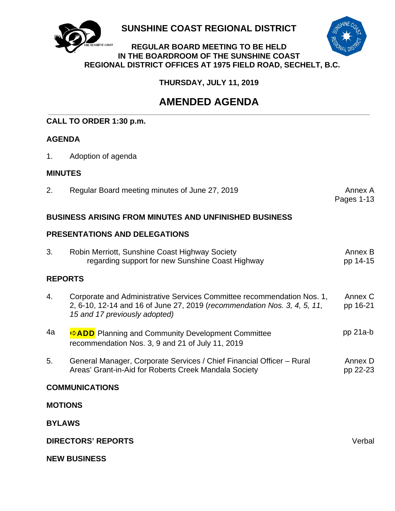

**SUNSHINE COAST REGIONAL DISTRICT** 



### **REGULAR BOARD MEETING TO BE HELD IN THE BOARDROOM OF THE SUNSHINE COAST REGIONAL DISTRICT OFFICES AT 1975 FIELD ROAD, SECHELT, B.C.**

**THURSDAY, JULY 11, 2019**

# **AMENDED AGENDA**

# **CALL TO ORDER 1:30 p.m.**

# **AGENDA**

1. Adoption of agenda

### **MINUTES**

| Regular Board meeting minutes of June 27, 2019 | Annex A    |
|------------------------------------------------|------------|
|                                                | Pages 1-13 |

# **BUSINESS ARISING FROM MINUTES AND UNFINISHED BUSINESS**

# **PRESENTATIONS AND DELEGATIONS**

| 3.                        | Robin Merriott, Sunshine Coast Highway Society<br>regarding support for new Sunshine Coast Highway                                                                                  | Annex B<br>pp 14-15 |  |
|---------------------------|-------------------------------------------------------------------------------------------------------------------------------------------------------------------------------------|---------------------|--|
| <b>REPORTS</b>            |                                                                                                                                                                                     |                     |  |
| 4.                        | Corporate and Administrative Services Committee recommendation Nos. 1,<br>2, 6-10, 12-14 and 16 of June 27, 2019 (recommendation Nos. 3, 4, 5, 11,<br>15 and 17 previously adopted) | Annex C<br>pp 16-21 |  |
| 4a                        | <b>⇒ADD</b> Planning and Community Development Committee<br>recommendation Nos. 3, 9 and 21 of July 11, 2019                                                                        | $pp$ 21a-b          |  |
| 5.                        | General Manager, Corporate Services / Chief Financial Officer – Rural<br>Areas' Grant-in-Aid for Roberts Creek Mandala Society                                                      | Annex D<br>pp 22-23 |  |
| <b>COMMUNICATIONS</b>     |                                                                                                                                                                                     |                     |  |
| <b>MOTIONS</b>            |                                                                                                                                                                                     |                     |  |
| <b>BYLAWS</b>             |                                                                                                                                                                                     |                     |  |
| <b>DIRECTORS' REPORTS</b> |                                                                                                                                                                                     | Verbal              |  |

**NEW BUSINESS**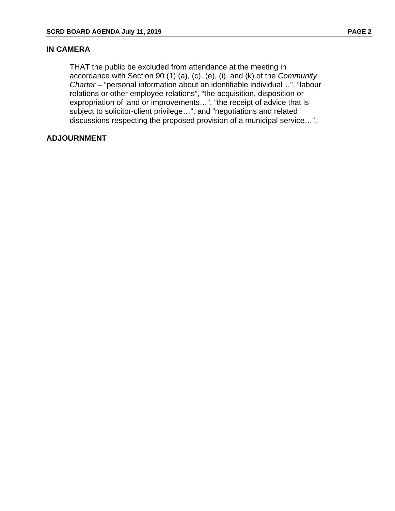### **IN CAMERA**

 THAT the public be excluded from attendance at the meeting in accordance with Section 90 (1) (a), (c), (e), (i), and (k) of the *Community Charter* – "personal information about an identifiable individual…", "labour relations or other employee relations", "the acquisition, disposition or expropriation of land or improvements…", "the receipt of advice that is subject to solicitor-client privilege…", and "negotiations and related discussions respecting the proposed provision of a municipal service…".

### **ADJOURNMENT**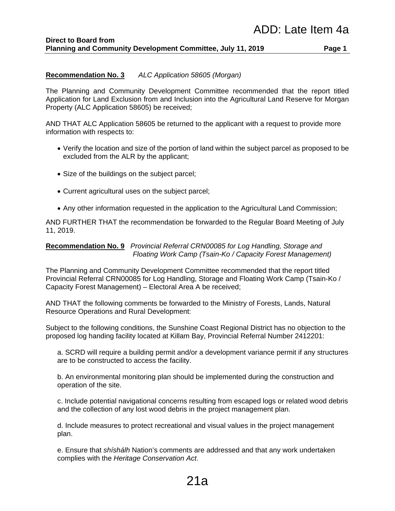### **Recommendation No. 3** *ALC Application 58605 (Morgan)*

The Planning and Community Development Committee recommended that the report titled Application for Land Exclusion from and Inclusion into the Agricultural Land Reserve for Morgan Property (ALC Application 58605) be received;

AND THAT ALC Application 58605 be returned to the applicant with a request to provide more information with respects to:

- Verify the location and size of the portion of land within the subject parcel as proposed to be excluded from the ALR by the applicant;
- Size of the buildings on the subject parcel;
- Current agricultural uses on the subject parcel;
- Any other information requested in the application to the Agricultural Land Commission;

AND FURTHER THAT the recommendation be forwarded to the Regular Board Meeting of July 11, 2019.

### **Recommendation No. 9** *Provincial Referral CRN00085 for Log Handling, Storage and Floating Work Camp (Tsain-Ko / Capacity Forest Management)*

The Planning and Community Development Committee recommended that the report titled Provincial Referral CRN00085 for Log Handling, Storage and Floating Work Camp (Tsain-Ko / Capacity Forest Management) – Electoral Area A be received;

AND THAT the following comments be forwarded to the Ministry of Forests, Lands, Natural Resource Operations and Rural Development:

Subject to the following conditions, the Sunshine Coast Regional District has no objection to the proposed log handing facility located at Killam Bay, Provincial Referral Number 2412201:

a. SCRD will require a building permit and/or a development variance permit if any structures are to be constructed to access the facility.

b. An environmental monitoring plan should be implemented during the construction and operation of the site.

c. Include potential navigational concerns resulting from escaped logs or related wood debris and the collection of any lost wood debris in the project management plan.

d. Include measures to protect recreational and visual values in the project management plan.

e. Ensure that *shíshálh* Nation's comments are addressed and that any work undertaken complies with the *Heritage Conservation Act*.